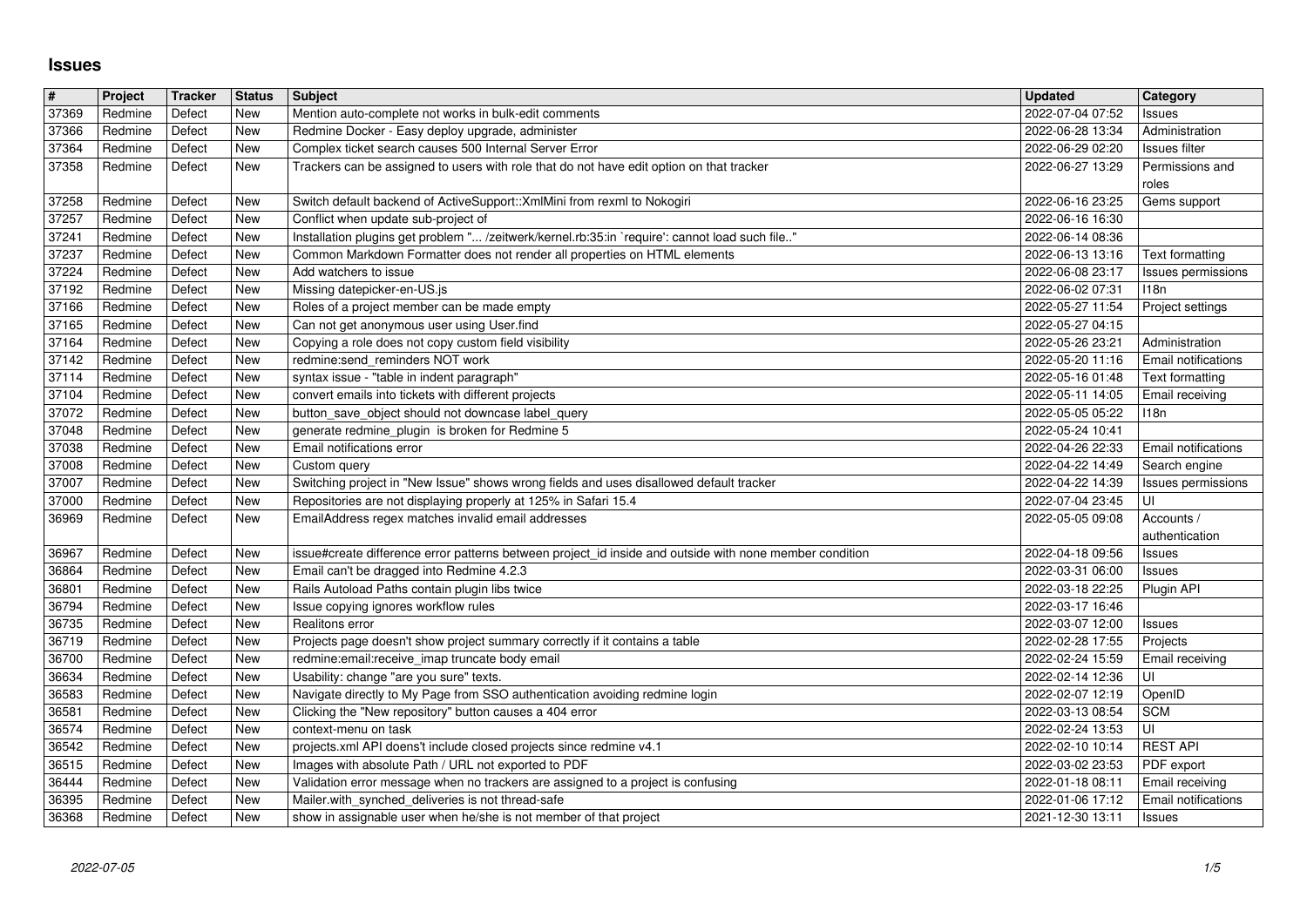## **Issues**

| $\overline{\#}$ | Project            | Tracker          | <b>Status</b> | <b>Subject</b>                                                                                                                                                              | Updated                              | Category                              |
|-----------------|--------------------|------------------|---------------|-----------------------------------------------------------------------------------------------------------------------------------------------------------------------------|--------------------------------------|---------------------------------------|
| 37369           | Redmine            | Defect           | New           | Mention auto-complete not works in bulk-edit comments                                                                                                                       | 2022-07-04 07:52                     | Issues                                |
| 37366<br>37364  | Redmine<br>Redmine | Defect<br>Defect | New<br>New    | Redmine Docker - Easy deploy upgrade, administer<br>Complex ticket search causes 500 Internal Server Error                                                                  | 2022-06-28 13:34<br>2022-06-29 02:20 | Administration<br>Issues filter       |
| 37358           | Redmine            | Defect           | New           | Trackers can be assigned to users with role that do not have edit option on that tracker                                                                                    | 2022-06-27 13:29                     | Permissions and                       |
|                 |                    |                  |               |                                                                                                                                                                             |                                      | roles                                 |
| 37258           | Redmine            | Defect           | New           | Switch default backend of ActiveSupport:: XmlMini from rexml to Nokogiri                                                                                                    | 2022-06-16 23:25                     | Gems support                          |
| 37257           | Redmine            | Defect           | New           | Conflict when update sub-project of                                                                                                                                         | 2022-06-16 16:30                     |                                       |
| 37241<br>37237  | Redmine<br>Redmine | Defect<br>Defect | New<br>New    | Installation plugins get problem " /zeitwerk/kernel.rb:35:in `require': cannot load such file"<br>Common Markdown Formatter does not render all properties on HTML elements | 2022-06-14 08:36<br>2022-06-13 13:16 | Text formatting                       |
| 37224           | Redmine            | Defect           | New           | Add watchers to issue                                                                                                                                                       | 2022-06-08 23:17                     | Issues permissions                    |
| 37192           | Redmine            | Defect           | New           | Missing datepicker-en-US.js                                                                                                                                                 | 2022-06-02 07:31                     | 118n                                  |
| 37166           | Redmine            | Defect           | New           | Roles of a project member can be made empty                                                                                                                                 | 2022-05-27 11:54                     | Project settings                      |
| 37165           | Redmine            | Defect           | New           | Can not get anonymous user using User.find                                                                                                                                  | 2022-05-27 04:15                     |                                       |
| 37164<br>37142  | Redmine<br>Redmine | Defect<br>Defect | New<br>New    | Copying a role does not copy custom field visibility<br>redmine:send_reminders NOT work                                                                                     | 2022-05-26 23:21<br>2022-05-20 11:16 | Administration<br>Email notifications |
| 37114           | Redmine            | Defect           | New           | syntax issue - "table in indent paragraph"                                                                                                                                  | 2022-05-16 01:48                     | Text formatting                       |
| 37104           | Redmine            | Defect           | New           | convert emails into tickets with different projects                                                                                                                         | 2022-05-11 14:05                     | Email receiving                       |
| 37072           | Redmine            | Defect           | New           | button_save_object should not downcase label_query                                                                                                                          | 2022-05-05 05:22                     | 118n                                  |
| 37048<br>37038  | Redmine<br>Redmine | Defect<br>Defect | New<br>New    | generate redmine_plugin is broken for Redmine 5<br>Email notifications error                                                                                                | 2022-05-24 10:41<br>2022-04-26 22:33 | Email notifications                   |
| 37008           | Redmine            | Defect           | New           | Custom query                                                                                                                                                                | 2022-04-22 14:49                     | Search engine                         |
| 37007           | Redmine            | Defect           | New           | Switching project in "New Issue" shows wrong fields and uses disallowed default tracker                                                                                     | 2022-04-22 14:39                     | Issues permissions                    |
| 37000           | Redmine            | Defect           | New           | Repositories are not displaying properly at 125% in Safari 15.4                                                                                                             | 2022-07-04 23:45                     | UI                                    |
| 36969           | Redmine            | Defect           | New           | EmailAddress regex matches invalid email addresses                                                                                                                          | 2022-05-05 09:08                     | Accounts /                            |
| 36967           | Redmine            | Defect           | New           | issue#create difference error patterns between project_id inside and outside with none member condition                                                                     | 2022-04-18 09:56                     | authentication<br>Issues              |
| 36864           | Redmine            | Defect           | New           | Email can't be dragged into Redmine 4.2.3                                                                                                                                   | 2022-03-31 06:00                     | Issues                                |
| 36801           | Redmine            | Defect           | New           | Rails Autoload Paths contain plugin libs twice                                                                                                                              | 2022-03-18 22:25                     | Plugin API                            |
| 36794           | Redmine            | Defect           | New           | Issue copying ignores workflow rules                                                                                                                                        | 2022-03-17 16:46                     |                                       |
| 36735           | Redmine            | Defect           | New           | Realitons error                                                                                                                                                             | 2022-03-07 12:00                     | Issues                                |
| 36719<br>36700  | Redmine<br>Redmine | Defect<br>Defect | New<br>New    | Projects page doesn't show project summary correctly if it contains a table<br>redmine:email:receive_imap truncate body email                                               | 2022-02-28 17:55<br>2022-02-24 15:59 | Projects<br>Email receiving           |
| 36634           | Redmine            | Defect           | New           | Usability: change "are you sure" texts.                                                                                                                                     | 2022-02-14 12:36                     | UI                                    |
| 36583           | Redmine            | Defect           | New           | Navigate directly to My Page from SSO authentication avoiding redmine login                                                                                                 | 2022-02-07 12:19                     | OpenID                                |
| 36581           | Redmine            | Defect           | New           | Clicking the "New repository" button causes a 404 error                                                                                                                     | 2022-03-13 08:54                     | <b>SCM</b>                            |
| 36574<br>36542  | Redmine<br>Redmine | Defect<br>Defect | New<br>New    | context-menu on task<br>projects.xml API doens't include closed projects since redmine v4.1                                                                                 | 2022-02-24 13:53<br>2022-02-10 10:14 | UI<br><b>REST API</b>                 |
| 36515           | Redmine            | Defect           | New           | Images with absolute Path / URL not exported to PDF                                                                                                                         | 2022-03-02 23:53                     | PDF export                            |
| 36444           | Redmine            | Defect           | New           | Validation error message when no trackers are assigned to a project is confusing                                                                                            | 2022-01-18 08:11                     | <b>Email receiving</b>                |
| 36395<br>36368  | Redmine            | Defect<br>Defect | New           | Mailer.with_synched_deliveries is not thread-safe<br>show in assignable user when he/she is not member of that project                                                      | 2022-01-06 17:12<br>2021-12-30 13:11 | Email notifications                   |
|                 |                    |                  |               |                                                                                                                                                                             |                                      |                                       |
|                 |                    |                  |               |                                                                                                                                                                             |                                      |                                       |
|                 |                    |                  |               |                                                                                                                                                                             |                                      |                                       |
|                 |                    |                  |               |                                                                                                                                                                             |                                      |                                       |
|                 |                    |                  |               |                                                                                                                                                                             |                                      |                                       |
|                 |                    |                  |               |                                                                                                                                                                             |                                      |                                       |
|                 |                    |                  |               |                                                                                                                                                                             |                                      |                                       |
|                 |                    |                  |               |                                                                                                                                                                             |                                      |                                       |
|                 |                    |                  |               |                                                                                                                                                                             |                                      |                                       |
|                 |                    |                  |               |                                                                                                                                                                             |                                      |                                       |
|                 |                    |                  |               |                                                                                                                                                                             |                                      |                                       |
|                 |                    |                  |               |                                                                                                                                                                             |                                      |                                       |
|                 |                    |                  |               |                                                                                                                                                                             |                                      |                                       |
|                 |                    |                  |               |                                                                                                                                                                             |                                      |                                       |
|                 |                    |                  |               |                                                                                                                                                                             |                                      |                                       |
|                 |                    |                  |               |                                                                                                                                                                             |                                      |                                       |
|                 |                    |                  |               |                                                                                                                                                                             |                                      |                                       |
|                 |                    |                  |               |                                                                                                                                                                             |                                      |                                       |
|                 |                    |                  |               |                                                                                                                                                                             |                                      |                                       |
|                 |                    |                  |               |                                                                                                                                                                             |                                      |                                       |
|                 |                    |                  |               |                                                                                                                                                                             |                                      |                                       |
|                 |                    |                  |               |                                                                                                                                                                             |                                      |                                       |
|                 |                    |                  |               |                                                                                                                                                                             |                                      |                                       |
|                 |                    |                  |               |                                                                                                                                                                             |                                      |                                       |
|                 |                    |                  |               |                                                                                                                                                                             |                                      |                                       |
|                 |                    |                  |               |                                                                                                                                                                             |                                      |                                       |
|                 |                    |                  |               |                                                                                                                                                                             |                                      |                                       |
|                 |                    |                  |               |                                                                                                                                                                             |                                      |                                       |
|                 |                    |                  |               |                                                                                                                                                                             |                                      |                                       |
|                 |                    |                  |               |                                                                                                                                                                             |                                      |                                       |
|                 |                    |                  |               |                                                                                                                                                                             |                                      |                                       |
|                 |                    |                  |               |                                                                                                                                                                             |                                      |                                       |
|                 |                    |                  |               |                                                                                                                                                                             |                                      |                                       |
|                 |                    |                  |               |                                                                                                                                                                             |                                      |                                       |
|                 |                    |                  |               |                                                                                                                                                                             |                                      |                                       |
|                 |                    |                  |               |                                                                                                                                                                             |                                      |                                       |
|                 |                    |                  |               |                                                                                                                                                                             |                                      |                                       |
|                 |                    |                  |               |                                                                                                                                                                             |                                      |                                       |
|                 |                    |                  |               |                                                                                                                                                                             |                                      |                                       |
|                 |                    |                  |               |                                                                                                                                                                             |                                      |                                       |
|                 |                    |                  |               |                                                                                                                                                                             |                                      |                                       |
|                 |                    |                  |               |                                                                                                                                                                             |                                      |                                       |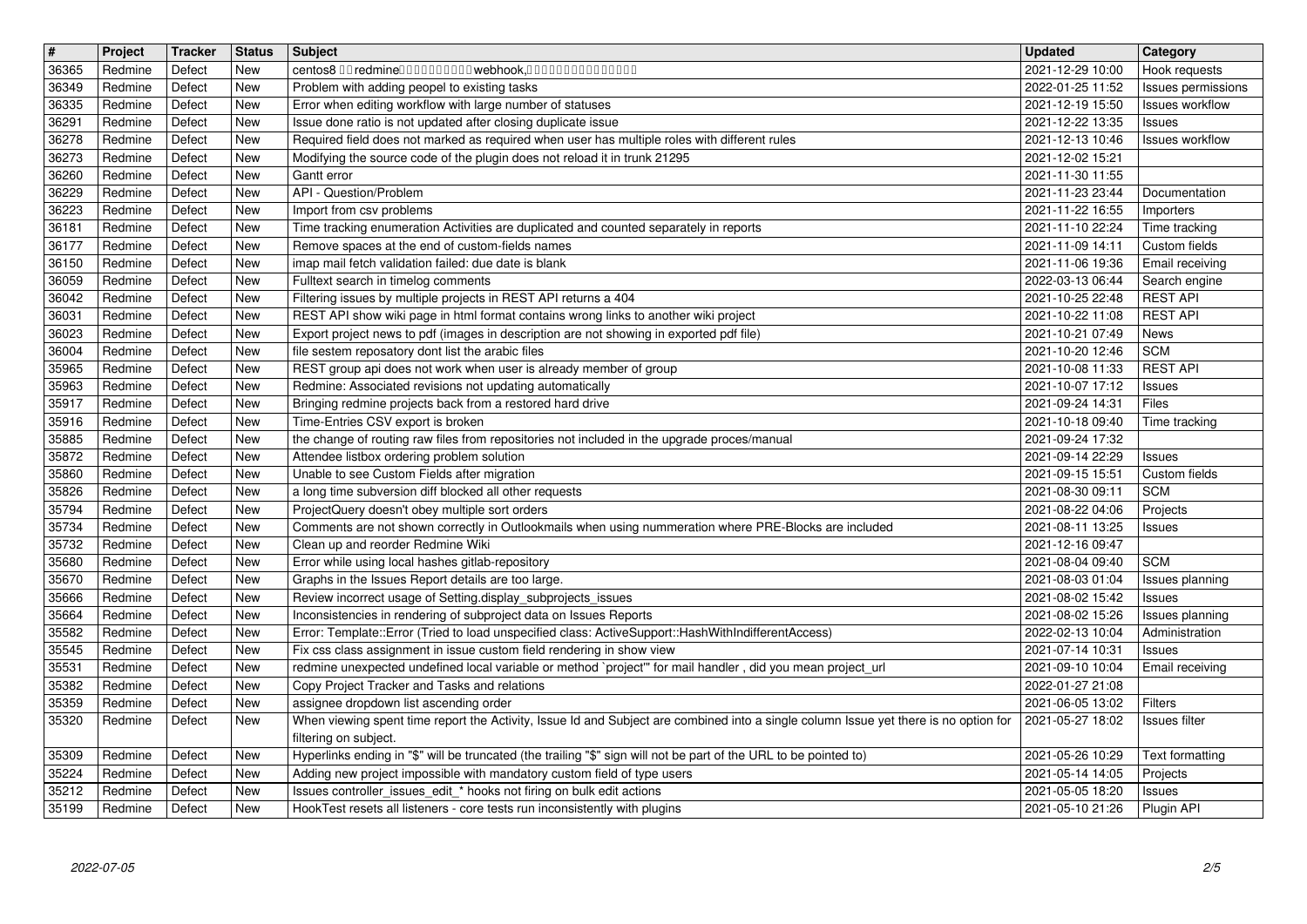| $\sqrt{\frac{4}{15}}$ | Project            | <b>Tracker</b>   | <b>Status</b>            | <b>Subject</b>                                                                                                                                                                               | <b>Updated</b>                       | Category                            |
|-----------------------|--------------------|------------------|--------------------------|----------------------------------------------------------------------------------------------------------------------------------------------------------------------------------------------|--------------------------------------|-------------------------------------|
| 36365<br>36349        | Redmine<br>Redmine | Defect<br>Defect | <b>New</b><br>New        | centos8 00 redmine0000000000 webhook,000000000000000<br>Problem with adding peopel to existing tasks                                                                                         | 2021-12-29 10:00<br>2022-01-25 11:52 | Hook requests<br>Issues permissions |
| 36335                 | Redmine            | Defect           | <b>New</b>               | Error when editing workflow with large number of statuses                                                                                                                                    | 2021-12-19 15:50                     | Issues workflow                     |
| 36291                 | Redmine            | Defect           | <b>New</b>               | Issue done ratio is not updated after closing duplicate issue                                                                                                                                | 2021-12-22 13:35                     | Issues                              |
| 36278<br>36273        | Redmine<br>Redmine | Defect<br>Defect | <b>New</b><br>New        | Required field does not marked as required when user has multiple roles with different rules<br>Modifying the source code of the plugin does not reload it in trunk 21295                    | 2021-12-13 10:46<br>2021-12-02 15:21 | <b>Issues workflow</b>              |
| 36260                 | Redmine            | Defect           | New                      | Gantt error                                                                                                                                                                                  | 2021-11-30 11:55                     |                                     |
| 36229                 | Redmine            | Defect           | New                      | API - Question/Problem                                                                                                                                                                       | 2021-11-23 23:44                     | Documentation                       |
| 36223<br>36181        | Redmine<br>Redmine | Defect<br>Defect | New<br><b>New</b>        | Import from csv problems<br>Time tracking enumeration Activities are duplicated and counted separately in reports                                                                            | 2021-11-22 16:55<br>2021-11-10 22:24 | Importers<br>Time tracking          |
| 36177                 | Redmine            | Defect           | <b>New</b>               | Remove spaces at the end of custom-fields names                                                                                                                                              | 2021-11-09 14:11                     | Custom fields                       |
| 36150                 | Redmine            | Defect           | <b>New</b>               | imap mail fetch validation failed: due date is blank                                                                                                                                         | 2021-11-06 19:36                     | Email receiving                     |
| 36059<br>36042        | Redmine<br>Redmine | Defect<br>Defect | <b>New</b><br><b>New</b> | Fulltext search in timelog comments<br>Filtering issues by multiple projects in REST API returns a 404                                                                                       | 2022-03-13 06:44<br>2021-10-25 22:48 | Search engine<br><b>REST API</b>    |
| 36031                 | Redmine            | Defect           | <b>New</b>               | REST API show wiki page in html format contains wrong links to another wiki project                                                                                                          | 2021-10-22 11:08                     | <b>REST API</b>                     |
| 36023                 | Redmine            | Defect           | New                      | Export project news to pdf (images in description are not showing in exported pdf file)                                                                                                      | 2021-10-21 07:49                     | <b>News</b>                         |
| 36004<br>35965        | Redmine<br>Redmine | Defect<br>Defect | New<br><b>New</b>        | file sestem reposatory dont list the arabic files<br>REST group api does not work when user is already member of group                                                                       | 2021-10-20 12:46<br>2021-10-08 11:33 | <b>SCM</b><br><b>REST API</b>       |
| 35963                 | Redmine            | Defect           | <b>New</b>               | Redmine: Associated revisions not updating automatically                                                                                                                                     | 2021-10-07 17:12                     | Issues                              |
| 35917<br>35916        | Redmine<br>Redmine | Defect<br>Defect | <b>New</b><br><b>New</b> | Bringing redmine projects back from a restored hard drive<br>Time-Entries CSV export is broken                                                                                               | 2021-09-24 14:31<br>2021-10-18 09:40 | Files<br>Time tracking              |
| 35885                 | Redmine            | Defect           | <b>New</b>               | the change of routing raw files from repositories not included in the upgrade proces/manual                                                                                                  | 2021-09-24 17:32                     |                                     |
| 35872                 | Redmine            | Defect           | New                      | Attendee listbox ordering problem solution                                                                                                                                                   | 2021-09-14 22:29                     | Issues                              |
| 35860<br>35826        | Redmine<br>Redmine | Defect<br>Defect | <b>New</b><br>New        | Unable to see Custom Fields after migration<br>a long time subversion diff blocked all other requests                                                                                        | 2021-09-15 15:51<br>2021-08-30 09:11 | Custom fields<br><b>SCM</b>         |
| 35794                 | Redmine            | Defect           | New                      | ProjectQuery doesn't obey multiple sort orders                                                                                                                                               | 2021-08-22 04:06                     | Projects                            |
| 35734                 | Redmine            | Defect           | <b>New</b>               | Comments are not shown correctly in Outlookmails when using nummeration where PRE-Blocks are included                                                                                        | 2021-08-11 13:25                     | Issues                              |
| 35732<br>35680        | Redmine<br>Redmine | Defect<br>Defect | <b>New</b><br><b>New</b> | Clean up and reorder Redmine Wiki<br>Error while using local hashes gitlab-repository                                                                                                        | 2021-12-16 09:47<br>2021-08-04 09:40 | <b>SCM</b>                          |
| 35670                 | Redmine            | Defect           | New                      | Graphs in the Issues Report details are too large.                                                                                                                                           | 2021-08-03 01:04                     | Issues planning                     |
| 35666                 | Redmine            | Defect           | <b>New</b>               | Review incorrect usage of Setting.display_subprojects_issues                                                                                                                                 | 2021-08-02 15:42                     | Issues                              |
| 35664<br>35582        | Redmine<br>Redmine | Defect<br>Defect | New<br><b>New</b>        | Inconsistencies in rendering of subproject data on Issues Reports<br>Error: Template::Error (Tried to load unspecified class: ActiveSupport::HashWithIndifferentAccess)                      | 2021-08-02 15:26<br>2022-02-13 10:04 | Issues planning<br>Administration   |
| 35545                 | Redmine            | Defect           | New                      | Fix css class assignment in issue custom field rendering in show view                                                                                                                        | 2021-07-14 10:31                     | Issues                              |
| 35531                 | Redmine            | Defect           | <b>New</b>               | redmine unexpected undefined local variable or method `project'" for mail handler, did you mean project_url                                                                                  | 2021-09-10 10:04                     | Email receiving                     |
| 35382<br>35359        | Redmine<br>Redmine | Defect<br>Defect | <b>New</b><br>New        | Copy Project Tracker and Tasks and relations<br>assignee dropdown list ascending order                                                                                                       | 2022-01-27 21:08<br>2021-06-05 13:02 | <b>Filters</b>                      |
| 35320                 | Redmine            | Defect           | <b>New</b>               | When viewing spent time report the Activity, Issue Id and Subject are combined into a single column Issue yet there is no option for                                                         | 2021-05-27 18:02                     | <b>Issues filter</b>                |
|                       |                    |                  | <b>New</b>               | filtering on subject.                                                                                                                                                                        |                                      |                                     |
| 35309<br>35224        | Redmine<br>Redmine | Defect<br>Defect | New                      | Hyperlinks ending in "\$" will be truncated (the trailing "\$" sign will not be part of the URL to be pointed to)<br>Adding new project impossible with mandatory custom field of type users | 2021-05-26 10:29<br>2021-05-14 14:05 | Text formatting<br>Projects         |
| 35212<br>35199        | Redmine<br>Redmine | Defect<br>Defect | New<br>New               | Issues controller_issues_edit_* hooks not firing on bulk edit actions<br>HookTest resets all listeners - core tests run inconsistently with plugins                                          | 2021-05-05 18:20<br>2021-05-10 21:26 | Issues<br>Plugin API                |
|                       |                    |                  |                          |                                                                                                                                                                                              |                                      |                                     |
|                       |                    |                  |                          |                                                                                                                                                                                              |                                      |                                     |
|                       |                    |                  |                          |                                                                                                                                                                                              |                                      |                                     |
|                       |                    |                  |                          |                                                                                                                                                                                              |                                      |                                     |
|                       |                    |                  |                          |                                                                                                                                                                                              |                                      |                                     |
|                       |                    |                  |                          |                                                                                                                                                                                              |                                      |                                     |
|                       |                    |                  |                          |                                                                                                                                                                                              |                                      |                                     |
|                       |                    |                  |                          |                                                                                                                                                                                              |                                      |                                     |
|                       |                    |                  |                          |                                                                                                                                                                                              |                                      |                                     |
|                       |                    |                  |                          |                                                                                                                                                                                              |                                      |                                     |
|                       |                    |                  |                          |                                                                                                                                                                                              |                                      |                                     |
|                       |                    |                  |                          |                                                                                                                                                                                              |                                      |                                     |
|                       |                    |                  |                          |                                                                                                                                                                                              |                                      |                                     |
|                       |                    |                  |                          |                                                                                                                                                                                              |                                      |                                     |
|                       |                    |                  |                          |                                                                                                                                                                                              |                                      |                                     |
|                       |                    |                  |                          |                                                                                                                                                                                              |                                      |                                     |
|                       |                    |                  |                          |                                                                                                                                                                                              |                                      |                                     |
|                       |                    |                  |                          |                                                                                                                                                                                              |                                      |                                     |
|                       |                    |                  |                          |                                                                                                                                                                                              |                                      |                                     |
|                       |                    |                  |                          |                                                                                                                                                                                              |                                      |                                     |
|                       |                    |                  |                          |                                                                                                                                                                                              |                                      |                                     |
|                       |                    |                  |                          |                                                                                                                                                                                              |                                      |                                     |
|                       |                    |                  |                          |                                                                                                                                                                                              |                                      |                                     |
|                       |                    |                  |                          |                                                                                                                                                                                              |                                      |                                     |
|                       |                    |                  |                          |                                                                                                                                                                                              |                                      |                                     |
|                       |                    |                  |                          |                                                                                                                                                                                              |                                      |                                     |
|                       |                    |                  |                          |                                                                                                                                                                                              |                                      |                                     |
|                       |                    |                  |                          |                                                                                                                                                                                              |                                      |                                     |
|                       |                    |                  |                          |                                                                                                                                                                                              |                                      |                                     |
|                       |                    |                  |                          |                                                                                                                                                                                              |                                      |                                     |
|                       |                    |                  |                          |                                                                                                                                                                                              |                                      |                                     |
|                       |                    |                  |                          |                                                                                                                                                                                              |                                      |                                     |
|                       |                    |                  |                          |                                                                                                                                                                                              |                                      |                                     |
|                       |                    |                  |                          |                                                                                                                                                                                              |                                      |                                     |
|                       |                    |                  |                          |                                                                                                                                                                                              |                                      |                                     |
|                       |                    |                  |                          |                                                                                                                                                                                              |                                      |                                     |
|                       |                    |                  |                          |                                                                                                                                                                                              |                                      |                                     |
|                       |                    |                  |                          |                                                                                                                                                                                              |                                      |                                     |
|                       |                    |                  |                          |                                                                                                                                                                                              |                                      |                                     |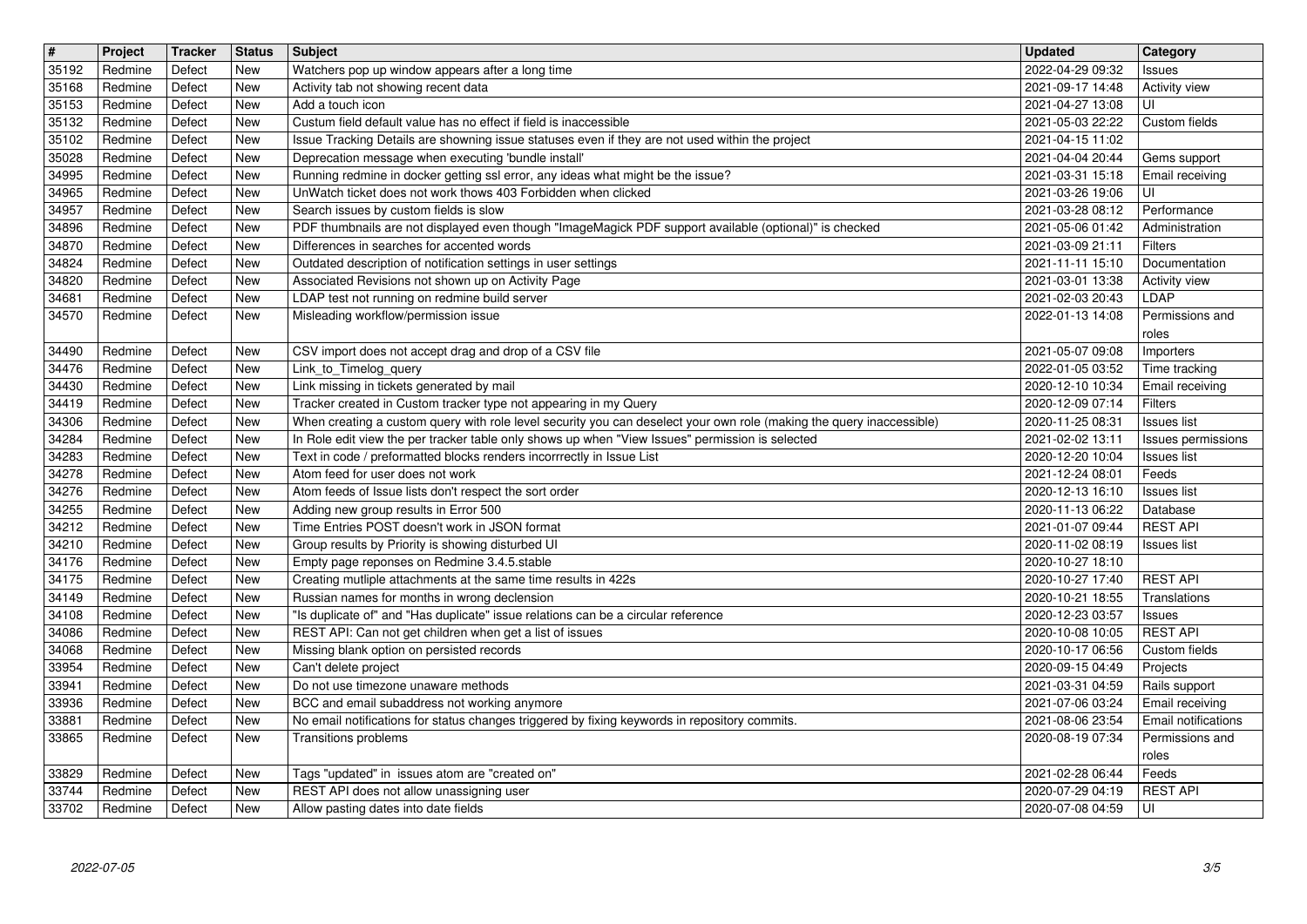| $\sqrt{\frac{4}{15}}$ | Project            | Tracker          | <b>Status</b>            | <b>Subject</b>                                                                                                                                         | <b>Updated</b>                       | Category                                      |
|-----------------------|--------------------|------------------|--------------------------|--------------------------------------------------------------------------------------------------------------------------------------------------------|--------------------------------------|-----------------------------------------------|
| 35192<br>35168        | Redmine<br>Redmine | Defect<br>Defect | <b>New</b><br>New        | Watchers pop up window appears after a long time<br>Activity tab not showing recent data                                                               | 2022-04-29 09:32<br>2021-09-17 14:48 | Issues<br>Activity view                       |
| 35153                 | Redmine            | Defect           | <b>New</b>               | Add a touch icon                                                                                                                                       | 2021-04-27 13:08                     | UI                                            |
| 35132                 | Redmine            | Defect           | <b>New</b>               | Custum field default value has no effect if field is inaccessible                                                                                      | 2021-05-03 22:22                     | Custom fields                                 |
| 35102<br>35028        | Redmine<br>Redmine | Defect<br>Defect | <b>New</b><br><b>New</b> | Issue Tracking Details are showning issue statuses even if they are not used within the project<br>Deprecation message when executing 'bundle install' | 2021-04-15 11:02<br>2021-04-04 20:44 | Gems support                                  |
| 34995                 | Redmine            | Defect           | New                      | Running redmine in docker getting ssl error, any ideas what might be the issue?                                                                        | 2021-03-31 15:18                     | Email receiving                               |
| 34965<br>34957        | Redmine<br>Redmine | Defect<br>Defect | New<br><b>New</b>        | UnWatch ticket does not work thows 403 Forbidden when clicked<br>Search issues by custom fields is slow                                                | 2021-03-26 19:06<br>2021-03-28 08:12 | UI<br>Performance                             |
| 34896                 | Redmine            | Defect           | New                      | PDF thumbnails are not displayed even though "ImageMagick PDF support available (optional)" is checked                                                 | 2021-05-06 01:42                     | Administration                                |
| 34870                 | Redmine            | Defect           | <b>New</b>               | Differences in searches for accented words                                                                                                             | 2021-03-09 21:11                     | Filters                                       |
| 34824<br>34820        | Redmine<br>Redmine | Defect<br>Defect | <b>New</b><br><b>New</b> | Outdated description of notification settings in user settings<br>Associated Revisions not shown up on Activity Page                                   | 2021-11-11 15:10<br>2021-03-01 13:38 | Documentation<br>Activity view                |
| 34681                 | Redmine            | Defect           | <b>New</b>               | LDAP test not running on redmine build server                                                                                                          | 2021-02-03 20:43                     | LDAP                                          |
| 34570                 | Redmine            | Defect           | <b>New</b>               | Misleading workflow/permission issue                                                                                                                   | 2022-01-13 14:08                     | Permissions and                               |
| 34490                 | Redmine            | Defect           | <b>New</b>               | CSV import does not accept drag and drop of a CSV file                                                                                                 | 2021-05-07 09:08                     | roles<br>Importers                            |
| 34476                 | Redmine            | Defect           | <b>New</b>               | Link_to_Timelog_query                                                                                                                                  | 2022-01-05 03:52                     | Time tracking                                 |
| 34430<br>34419        | Redmine<br>Redmine | Defect<br>Defect | <b>New</b><br><b>New</b> | Link missing in tickets generated by mail<br>Tracker created in Custom tracker type not appearing in my Query                                          | 2020-12-10 10:34<br>2020-12-09 07:14 | Email receiving<br>Filters                    |
| 34306                 | Redmine            | Defect           | <b>New</b>               | When creating a custom query with role level security you can deselect your own role (making the query inaccessible)                                   | 2020-11-25 08:31                     | <b>Issues list</b>                            |
| 34284                 | Redmine            | Defect           | <b>New</b>               | In Role edit view the per tracker table only shows up when "View Issues" permission is selected                                                        | 2021-02-02 13:11                     | Issues permissions                            |
| 34283<br>34278        | Redmine<br>Redmine | Defect<br>Defect | <b>New</b><br><b>New</b> | Text in code / preformatted blocks renders incorrrectly in Issue List<br>Atom feed for user does not work                                              | 2020-12-20 10:04<br>2021-12-24 08:01 | <b>Issues list</b><br>Feeds                   |
| 34276                 | Redmine            | Defect           | New                      | Atom feeds of Issue lists don't respect the sort order                                                                                                 | 2020-12-13 16:10                     | Issues list                                   |
| 34255                 | Redmine            | Defect           | New                      | Adding new group results in Error 500                                                                                                                  | 2020-11-13 06:22                     | Database                                      |
| 34212<br>34210        | Redmine<br>Redmine | Defect<br>Defect | <b>New</b><br><b>New</b> | Time Entries POST doesn't work in JSON format<br>Group results by Priority is showing disturbed UI                                                     | 2021-01-07 09:44<br>2020-11-02 08:19 | <b>REST API</b><br>Issues list                |
| 34176                 | Redmine            | Defect           | <b>New</b>               | Empty page reponses on Redmine 3.4.5.stable                                                                                                            | 2020-10-27 18:10                     |                                               |
| 34175                 | Redmine            | Defect           | New<br><b>New</b>        | Creating mutliple attachments at the same time results in 422s                                                                                         | 2020-10-27 17:40                     | <b>REST API</b>                               |
| 34149<br>34108        | Redmine<br>Redmine | Defect<br>Defect | <b>New</b>               | Russian names for months in wrong declension<br>"Is duplicate of" and "Has duplicate" issue relations can be a circular reference                      | 2020-10-21 18:55<br>2020-12-23 03:57 | Translations<br>Issues                        |
| 34086                 | Redmine            | Defect           | <b>New</b>               | REST API: Can not get children when get a list of issues                                                                                               | 2020-10-08 10:05                     | <b>REST API</b>                               |
| 34068                 | Redmine<br>Redmine | Defect<br>Defect | New<br><b>New</b>        | Missing blank option on persisted records<br>Can't delete project                                                                                      | 2020-10-17 06:56<br>2020-09-15 04:49 | Custom fields                                 |
| 33954<br>33941        | Redmine            | Defect           | <b>New</b>               | Do not use timezone unaware methods                                                                                                                    | 2021-03-31 04:59                     | Projects<br>Rails support                     |
| 33936                 | Redmine            | Defect           | <b>New</b>               | BCC and email subaddress not working anymore                                                                                                           | 2021-07-06 03:24                     | Email receiving                               |
| 33881<br>33865        | Redmine<br>Redmine | Defect<br>Defect | <b>New</b><br>New        | No email notifications for status changes triggered by fixing keywords in repository commits.<br>Transitions problems                                  | 2021-08-06 23:54<br>2020-08-19 07:34 | <b>Email notifications</b><br>Permissions and |
|                       |                    |                  |                          |                                                                                                                                                        |                                      | roles                                         |
| 33829<br>33744        | Redmine<br>Redmine | Defect<br>Defect | <b>New</b><br><b>New</b> | Tags "updated" in issues atom are "created on"<br>REST API does not allow unassigning user                                                             | 2021-02-28 06:44<br>2020-07-29 04:19 | Feeds<br><b>REST API</b>                      |
| 33702                 | Redmine            | Defect           | <b>New</b>               | Allow pasting dates into date fields                                                                                                                   | 2020-07-08 04:59                     | l UI                                          |
|                       |                    |                  |                          |                                                                                                                                                        |                                      |                                               |
|                       |                    |                  |                          |                                                                                                                                                        |                                      |                                               |
|                       |                    |                  |                          |                                                                                                                                                        |                                      |                                               |
|                       |                    |                  |                          |                                                                                                                                                        |                                      |                                               |
|                       |                    |                  |                          |                                                                                                                                                        |                                      |                                               |
|                       |                    |                  |                          |                                                                                                                                                        |                                      |                                               |
|                       |                    |                  |                          |                                                                                                                                                        |                                      |                                               |
|                       |                    |                  |                          |                                                                                                                                                        |                                      |                                               |
|                       |                    |                  |                          |                                                                                                                                                        |                                      |                                               |
|                       |                    |                  |                          |                                                                                                                                                        |                                      |                                               |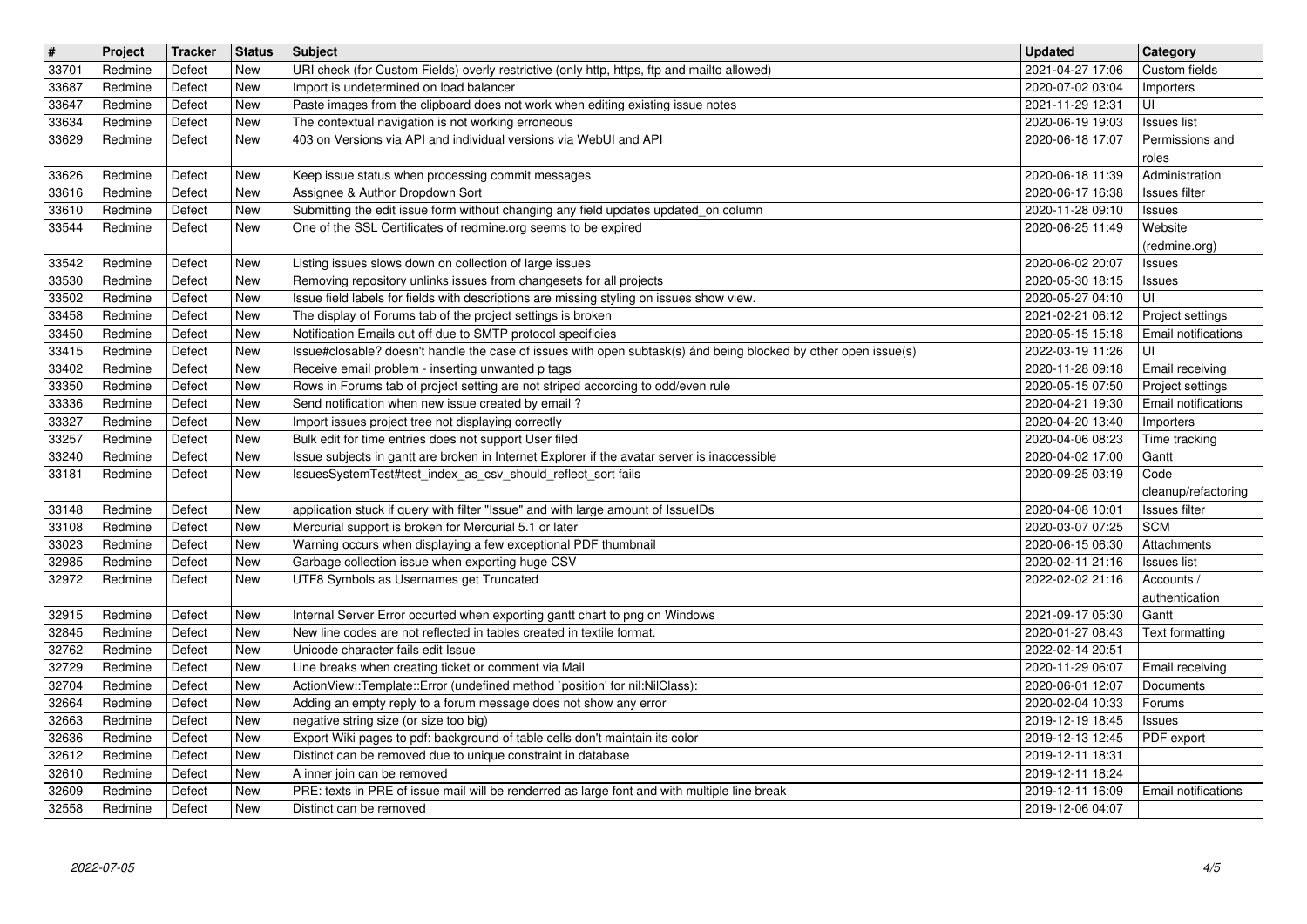| $\overline{\mathbf{H}}$ | Project            | <b>Tracker</b>   | <b>Status</b>     | <b>Subject</b>                                                                                                                                               | <b>Updated</b>                       | Category                                |
|-------------------------|--------------------|------------------|-------------------|--------------------------------------------------------------------------------------------------------------------------------------------------------------|--------------------------------------|-----------------------------------------|
| 33701                   | Redmine            | Defect           | <b>New</b><br>New | URI check (for Custom Fields) overly restrictive (only http, https, ftp and mailto allowed)<br>Import is undetermined on load balancer                       | 2021-04-27 17:06                     | Custom fields                           |
| 33687<br>33647          | Redmine<br>Redmine | Defect<br>Defect | New               | Paste images from the clipboard does not work when editing existing issue notes                                                                              | 2020-07-02 03:04<br>2021-11-29 12:31 | Importers<br>UI                         |
| 33634                   | Redmine            | Defect           | New               | The contextual navigation is not working erroneous                                                                                                           | 2020-06-19 19:03                     | <b>Issues list</b>                      |
| 33629                   | Redmine            | Defect           | New               | 403 on Versions via API and individual versions via WebUI and API                                                                                            | 2020-06-18 17:07                     | Permissions and                         |
| 33626                   | Redmine            | Defect           | <b>New</b>        | Keep issue status when processing commit messages                                                                                                            | 2020-06-18 11:39                     | roles<br>Administration                 |
| 33616                   | Redmine            | Defect           | New               | Assignee & Author Dropdown Sort                                                                                                                              | 2020-06-17 16:38                     | Issues filter                           |
| 33610                   | Redmine            | Defect           | New               | Submitting the edit issue form without changing any field updates updated_on column                                                                          | 2020-11-28 09:10                     | Issues                                  |
| 33544                   | Redmine            | Defect           | New               | One of the SSL Certificates of redmine.org seems to be expired                                                                                               | 2020-06-25 11:49                     | Website                                 |
| 33542                   | Redmine            | Defect           | <b>New</b>        | Listing issues slows down on collection of large issues                                                                                                      | 2020-06-02 20:07                     | (redmine.org)<br>Issues                 |
| 33530                   | Redmine            | Defect           | New               | Removing repository unlinks issues from changesets for all projects                                                                                          | 2020-05-30 18:15                     | <b>Issues</b>                           |
| 33502                   | Redmine            | Defect           | <b>New</b>        | Issue field labels for fields with descriptions are missing styling on issues show view.                                                                     | 2020-05-27 04:10                     | UI                                      |
| 33458<br>33450          | Redmine<br>Redmine | Defect<br>Defect | <b>New</b><br>New | The display of Forums tab of the project settings is broken<br>Notification Emails cut off due to SMTP protocol specificies                                  | 2021-02-21 06:12<br>2020-05-15 15:18 | Project settings<br>Email notifications |
| 33415                   | Redmine            | Defect           | New               | Issue#closable? doesn't handle the case of issues with open subtask(s) ánd being blocked by other open issue(s)                                              | 2022-03-19 11:26                     | UI                                      |
| 33402                   | Redmine            | Defect           | New               | Receive email problem - inserting unwanted p tags                                                                                                            | 2020-11-28 09:18                     | Email receiving                         |
| 33350<br>33336          | Redmine<br>Redmine | Defect<br>Defect | New<br>New        | Rows in Forums tab of project setting are not striped according to odd/even rule<br>Send notification when new issue created by email?                       | 2020-05-15 07:50<br>2020-04-21 19:30 | Project settings<br>Email notifications |
| 33327                   | Redmine            | Defect           | <b>New</b>        | Import issues project tree not displaying correctly                                                                                                          | 2020-04-20 13:40                     | Importers                               |
| 33257                   | Redmine            | Defect           | New               | Bulk edit for time entries does not support User filed                                                                                                       | 2020-04-06 08:23                     | Time tracking                           |
| 33240<br>33181          | Redmine<br>Redmine | Defect<br>Defect | New<br>New        | Issue subjects in gantt are broken in Internet Explorer if the avatar server is inaccessible<br>IssuesSystemTest#test_index_as_csv_should_reflect_sort fails | 2020-04-02 17:00<br>2020-09-25 03:19 | Gantt<br>Code                           |
|                         |                    |                  |                   |                                                                                                                                                              |                                      | cleanup/refactoring                     |
| 33148                   | Redmine            | Defect           | <b>New</b>        | application stuck if query with filter "Issue" and with large amount of IssueIDs                                                                             | 2020-04-08 10:01                     | Issues filter                           |
| 33108<br>33023          | Redmine<br>Redmine | Defect<br>Defect | New<br>New        | Mercurial support is broken for Mercurial 5.1 or later<br>Warning occurs when displaying a few exceptional PDF thumbnail                                     | 2020-03-07 07:25<br>2020-06-15 06:30 | <b>SCM</b><br>Attachments               |
| 32985                   | Redmine            | Defect           | New               | Garbage collection issue when exporting huge CSV                                                                                                             | 2020-02-11 21:16                     | <b>Issues list</b>                      |
| 32972                   | Redmine            | Defect           | <b>New</b>        | UTF8 Symbols as Usernames get Truncated                                                                                                                      | 2022-02-02 21:16                     | Accounts /                              |
| 32915                   | Redmine            | Defect           | New               | Internal Server Error occurted when exporting gantt chart to png on Windows                                                                                  | 2021-09-17 05:30                     | authentication<br>Gantt                 |
| 32845                   | Redmine            | Defect           | <b>New</b>        | New line codes are not reflected in tables created in textile format.                                                                                        | 2020-01-27 08:43                     | Text formatting                         |
| 32762                   | Redmine            | Defect           | New               | Unicode character fails edit Issue                                                                                                                           | 2022-02-14 20:51                     |                                         |
| 32729<br>32704          | Redmine<br>Redmine | Defect<br>Defect | New<br>New        | Line breaks when creating ticket or comment via Mail<br>ActionView::Template::Error (undefined method `position' for nil:NilClass):                          | 2020-11-29 06:07<br>2020-06-01 12:07 | Email receiving<br>Documents            |
| 32664                   | Redmine            | Defect           | New               | Adding an empty reply to a forum message does not show any error                                                                                             | 2020-02-04 10:33                     | Forums                                  |
| 32663                   | Redmine            | Defect           | New               | negative string size (or size too big)                                                                                                                       | 2019-12-19 18:45                     | <b>Issues</b>                           |
| 32636<br>32612          | Redmine<br>Redmine | Defect<br>Defect | New<br><b>New</b> | Export Wiki pages to pdf: background of table cells don't maintain its color<br>Distinct can be removed due to unique constraint in database                 | 2019-12-13 12:45<br>2019-12-11 18:31 | <b>PDF</b> export                       |
| 32610                   | Redmine            | Defect           | New               | A inner join can be removed                                                                                                                                  | 2019-12-11 18:24                     |                                         |
| 32609<br>32558          | Redmine<br>Redmine | Defect<br>Defect | New<br>New        | PRE: texts in PRE of issue mail will be renderred as large font and with multiple line break<br>Distinct can be removed                                      | 2019-12-11 16:09<br>2019-12-06 04:07 | <b>Email notifications</b>              |
|                         |                    |                  |                   |                                                                                                                                                              |                                      |                                         |
|                         |                    |                  |                   |                                                                                                                                                              |                                      |                                         |
|                         |                    |                  |                   |                                                                                                                                                              |                                      |                                         |
|                         |                    |                  |                   |                                                                                                                                                              |                                      |                                         |
|                         |                    |                  |                   |                                                                                                                                                              |                                      |                                         |
|                         |                    |                  |                   |                                                                                                                                                              |                                      |                                         |
|                         |                    |                  |                   |                                                                                                                                                              |                                      |                                         |
|                         |                    |                  |                   |                                                                                                                                                              |                                      |                                         |
|                         |                    |                  |                   |                                                                                                                                                              |                                      |                                         |
|                         |                    |                  |                   |                                                                                                                                                              |                                      |                                         |
|                         |                    |                  |                   |                                                                                                                                                              |                                      |                                         |
|                         |                    |                  |                   |                                                                                                                                                              |                                      |                                         |
|                         |                    |                  |                   |                                                                                                                                                              |                                      |                                         |
|                         |                    |                  |                   |                                                                                                                                                              |                                      |                                         |
|                         |                    |                  |                   |                                                                                                                                                              |                                      |                                         |
|                         |                    |                  |                   |                                                                                                                                                              |                                      |                                         |
|                         |                    |                  |                   |                                                                                                                                                              |                                      |                                         |